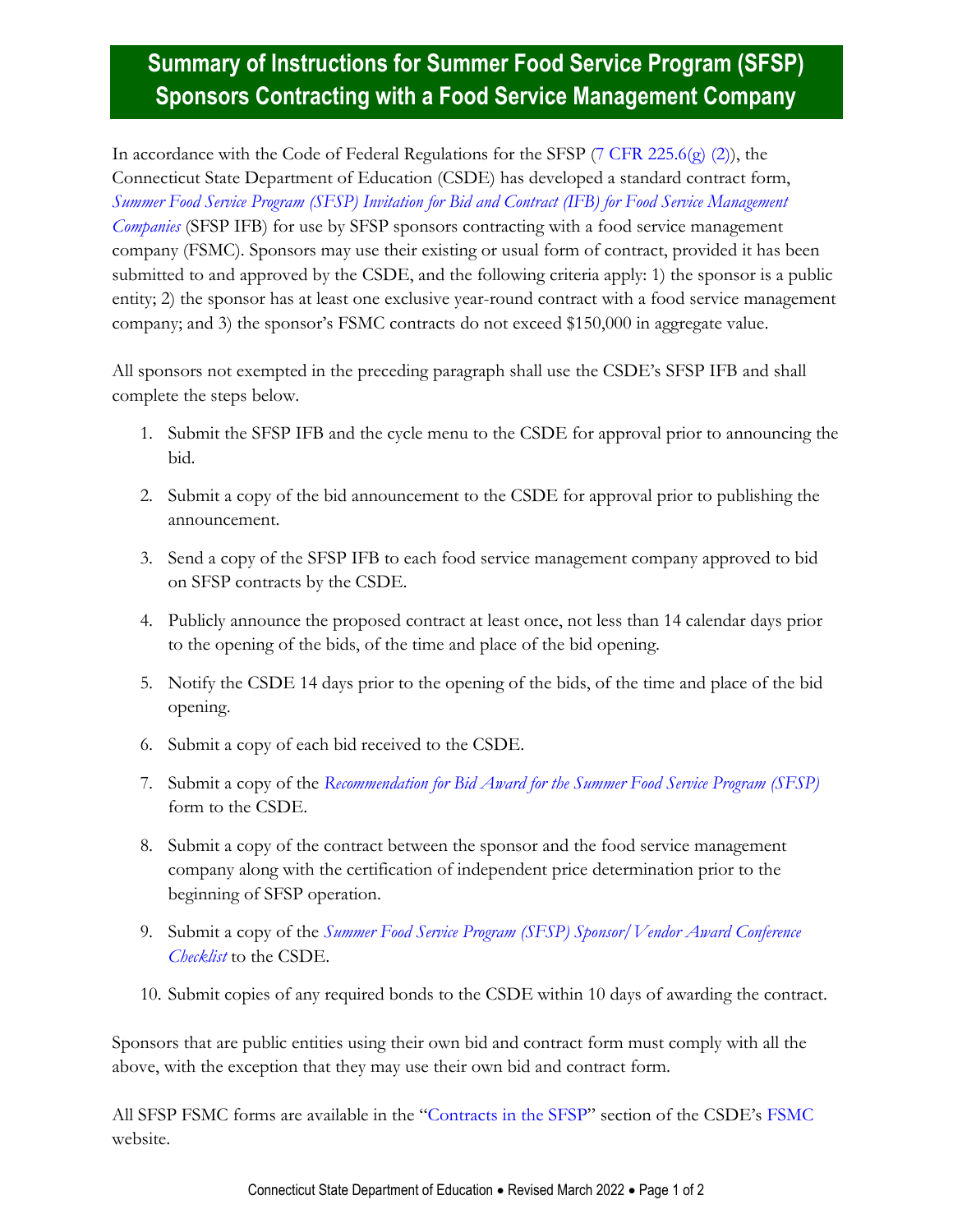## **Summary of Instructions for Summer Food Service Program (SFSP) Sponsors Contracting with a Food Service Management Company**

In accordance with the Code of Federal Regulations for the SFSP (7 [CFR 225.6\(g\) \(2\)\)](https://www.ecfr.gov/cgi-bin/text-idx?SID=39603dc24ba41386a3e9aa366a2e35b5&mc=true&node=pt7.4.225&rgn=div5#se7.4.225_16), the Connecticut State Department of Education (CSDE) has developed a standard contract form, *[Summer Food Service Program \(SFSP\) Invitation for Bid and Contract \(IFB\) for Food Service Management](https://portal.ct.gov/-/media/SDE/Nutrition/FSMC/SFSP_Invitation_for_Bid_and_Contract_FSMC.pdf)  [Companies](https://portal.ct.gov/-/media/SDE/Nutrition/FSMC/SFSP_Invitation_for_Bid_and_Contract_FSMC.pdf)* (SFSP IFB) for use by SFSP sponsors contracting with a food service management company (FSMC). Sponsors may use their existing or usual form of contract, provided it has been submitted to and approved by the CSDE, and the following criteria apply: 1) the sponsor is a public entity; 2) the sponsor has at least one exclusive year-round contract with a food service management company; and 3) the sponsor's FSMC contracts do not exceed \$150,000 in aggregate value.

All sponsors not exempted in the preceding paragraph shall use the CSDE's SFSP IFB and shall complete the steps below.

- 1. Submit the SFSP IFB and the cycle menu to the CSDE for approval prior to announcing the bid.
- 2. Submit a copy of the bid announcement to the CSDE for approval prior to publishing the announcement.
- 3. Send a copy of the SFSP IFB to each food service management company approved to bid on SFSP contracts by the CSDE.
- 4. Publicly announce the proposed contract at least once, not less than 14 calendar days prior to the opening of the bids, of the time and place of the bid opening.
- 5. Notify the CSDE 14 days prior to the opening of the bids, of the time and place of the bid opening.
- 6. Submit a copy of each bid received to the CSDE.
- 7. Submit a copy of the *[Recommendation for Bid Award for the Summer Food Service Program \(SFSP\)](https://portal.ct.gov/-/media/SDE/Nutrition/FSMC/SFSP_Recommendation_Bid_Award.pdf)* form to the CSDE.
- 8. Submit a copy of the contract between the sponsor and the food service management company along with the certification of independent price determination prior to the beginning of SFSP operation.
- 9. Submit a copy of the *[Summer Food Service Program \(SFSP\) Sponsor/Vendor Award Conference](https://portal.ct.gov/-/media/SDE/Nutrition/FSMC/SFSP_Sponsor_Vendor_Award_Conference_Checklist.pdf)  [Checklist](https://portal.ct.gov/-/media/SDE/Nutrition/FSMC/SFSP_Sponsor_Vendor_Award_Conference_Checklist.pdf)* to the CSDE.
- 10. Submit copies of any required bonds to the CSDE within 10 days of awarding the contract.

Sponsors that are public entities using their own bid and contract form must comply with all the above, with the exception that they may use their own bid and contract form.

All SFSP FSMC forms are available in the "[Contracts in the SFSP](https://portal.ct.gov/SDE/Nutrition/Food-Service-Management-Company#ContractsSFSP)" section of the CSDE's [FSMC](https://portal.ct.gov/SDE/Nutrition/Food-Service-Management-Company) website.